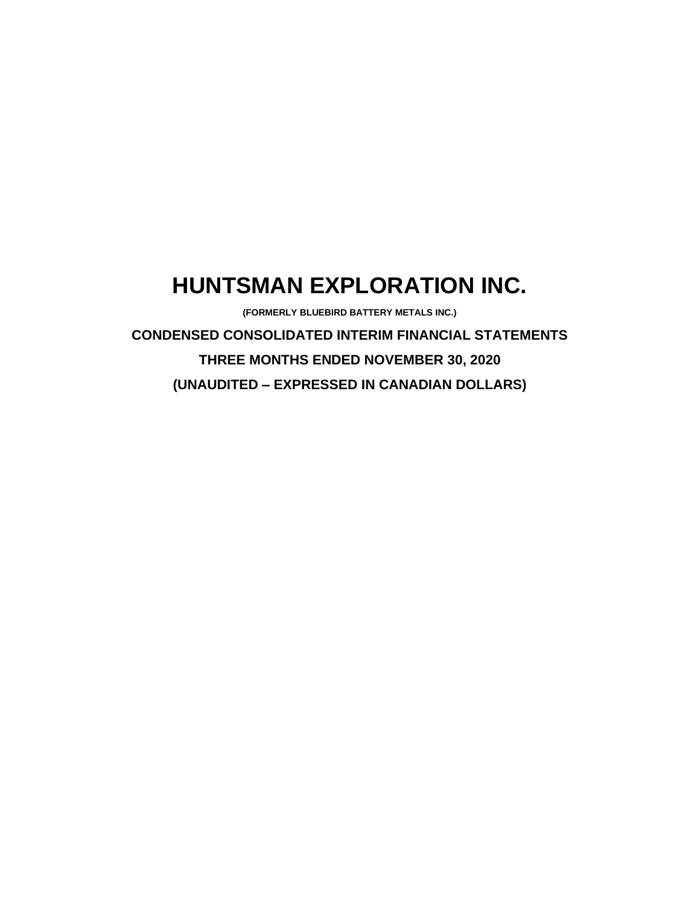# **HUNTSMAN EXPLORATION INC.**

**(FORMERLY BLUEBIRD BATTERY METALS INC.)**

**CONDENSED CONSOLIDATED INTERIM FINANCIAL STATEMENTS THREE MONTHS ENDED NOVEMBER 30, 2020 (UNAUDITED – EXPRESSED IN CANADIAN DOLLARS)**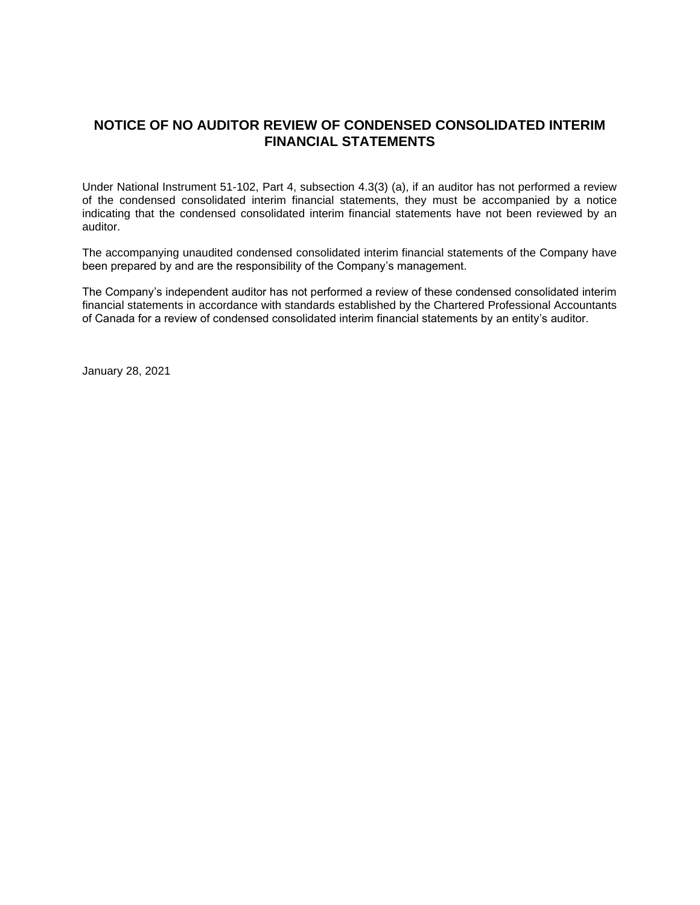# **NOTICE OF NO AUDITOR REVIEW OF CONDENSED CONSOLIDATED INTERIM FINANCIAL STATEMENTS**

Under National Instrument 51-102, Part 4, subsection 4.3(3) (a), if an auditor has not performed a review of the condensed consolidated interim financial statements, they must be accompanied by a notice indicating that the condensed consolidated interim financial statements have not been reviewed by an auditor.

The accompanying unaudited condensed consolidated interim financial statements of the Company have been prepared by and are the responsibility of the Company's management.

The Company's independent auditor has not performed a review of these condensed consolidated interim financial statements in accordance with standards established by the Chartered Professional Accountants of Canada for a review of condensed consolidated interim financial statements by an entity's auditor.

January 28, 2021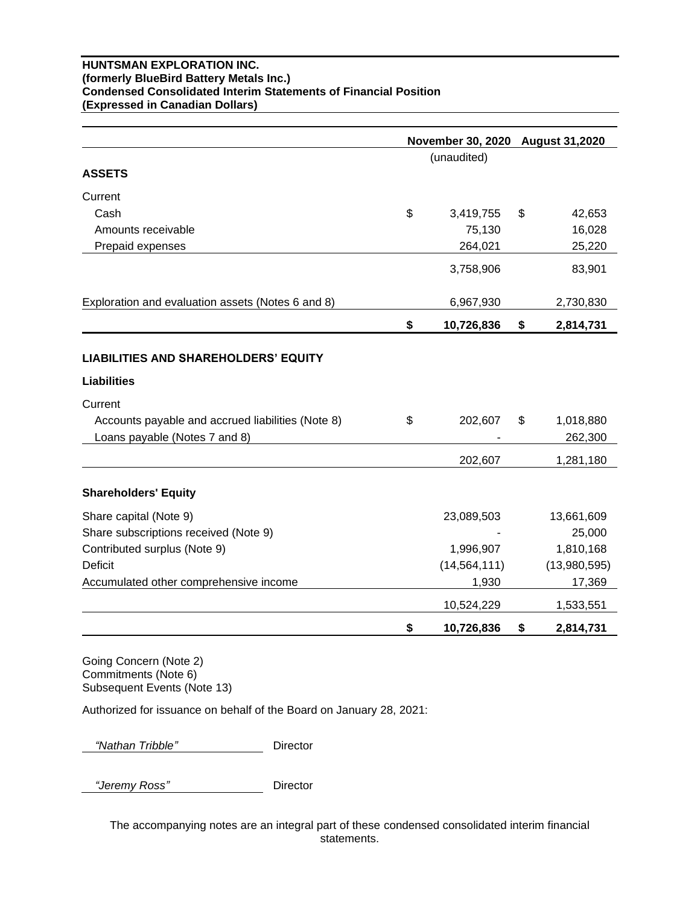## **HUNTSMAN EXPLORATION INC. (formerly BlueBird Battery Metals Inc.) Condensed Consolidated Interim Statements of Financial Position (Expressed in Canadian Dollars)**

|                                                   |                  | November 30, 2020 August 31,2020 |              |  |
|---------------------------------------------------|------------------|----------------------------------|--------------|--|
|                                                   | (unaudited)      |                                  |              |  |
| <b>ASSETS</b>                                     |                  |                                  |              |  |
| Current                                           |                  |                                  |              |  |
| Cash                                              | \$<br>3,419,755  | \$                               | 42,653       |  |
| Amounts receivable                                | 75,130           |                                  | 16,028       |  |
| Prepaid expenses                                  | 264,021          |                                  | 25,220       |  |
|                                                   | 3,758,906        |                                  | 83,901       |  |
| Exploration and evaluation assets (Notes 6 and 8) | 6,967,930        |                                  | 2,730,830    |  |
|                                                   | \$<br>10,726,836 | \$                               | 2,814,731    |  |
| <b>LIABILITIES AND SHAREHOLDERS' EQUITY</b>       |                  |                                  |              |  |
| <b>Liabilities</b>                                |                  |                                  |              |  |
| Current                                           |                  |                                  |              |  |
| Accounts payable and accrued liabilities (Note 8) | \$<br>202,607    | \$                               | 1,018,880    |  |
| Loans payable (Notes 7 and 8)                     |                  |                                  | 262,300      |  |
|                                                   | 202,607          |                                  | 1,281,180    |  |
| <b>Shareholders' Equity</b>                       |                  |                                  |              |  |
| Share capital (Note 9)                            | 23,089,503       |                                  | 13,661,609   |  |
| Share subscriptions received (Note 9)             |                  |                                  | 25,000       |  |
| Contributed surplus (Note 9)                      | 1,996,907        |                                  | 1,810,168    |  |
| <b>Deficit</b>                                    | (14, 564, 111)   |                                  | (13,980,595) |  |
| Accumulated other comprehensive income            | 1,930            |                                  | 17,369       |  |
|                                                   | 10,524,229       |                                  | 1,533,551    |  |
|                                                   | \$<br>10,726,836 | \$                               | 2,814,731    |  |

Going Concern (Note 2) Commitments (Note 6) Subsequent Events (Note 13)

Authorized for issuance on behalf of the Board on January 28, 2021:

 *"Nathan Tribble"* Director

 *"Jeremy Ross"* Director

The accompanying notes are an integral part of these condensed consolidated interim financial statements.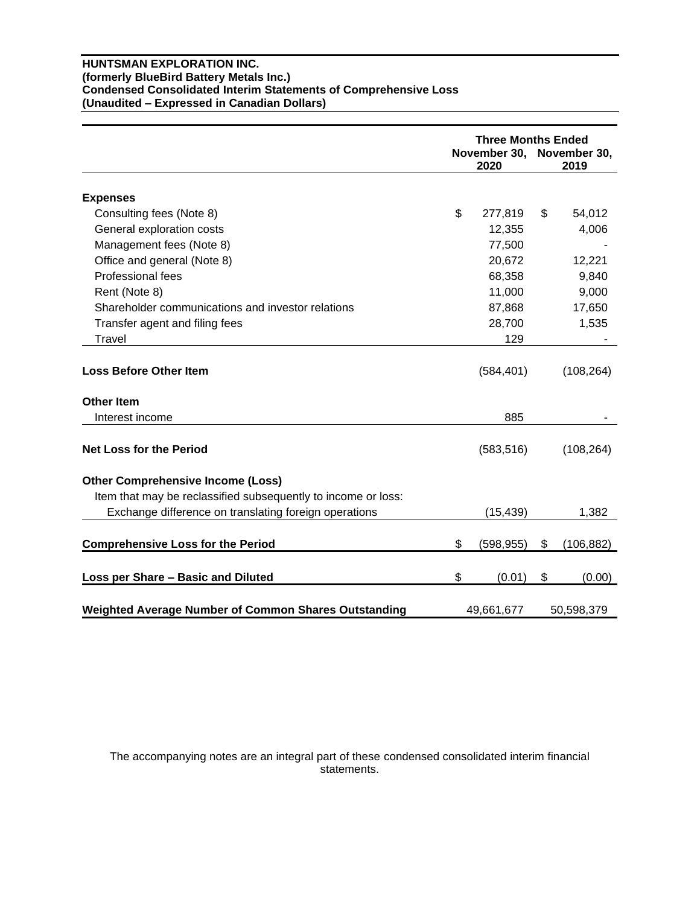## **HUNTSMAN EXPLORATION INC. (formerly BlueBird Battery Metals Inc.) Condensed Consolidated Interim Statements of Comprehensive Loss (Unaudited – Expressed in Canadian Dollars)**

|                                                               | <b>Three Months Ended</b><br>November 30, November 30,<br>2020<br>2019 |    |            |  |
|---------------------------------------------------------------|------------------------------------------------------------------------|----|------------|--|
| <b>Expenses</b>                                               |                                                                        |    |            |  |
| Consulting fees (Note 8)                                      | \$<br>277,819                                                          | \$ | 54,012     |  |
| General exploration costs                                     | 12,355                                                                 |    | 4,006      |  |
| Management fees (Note 8)                                      | 77,500                                                                 |    |            |  |
| Office and general (Note 8)                                   | 20,672                                                                 |    | 12,221     |  |
| Professional fees                                             | 68,358                                                                 |    | 9,840      |  |
| Rent (Note 8)                                                 | 11,000                                                                 |    | 9,000      |  |
| Shareholder communications and investor relations             | 87,868                                                                 |    | 17,650     |  |
| Transfer agent and filing fees                                | 28,700                                                                 |    | 1,535      |  |
| <b>Travel</b>                                                 | 129                                                                    |    |            |  |
| <b>Loss Before Other Item</b>                                 | (584, 401)                                                             |    | (108, 264) |  |
| <b>Other Item</b>                                             |                                                                        |    |            |  |
| Interest income                                               | 885                                                                    |    |            |  |
| <b>Net Loss for the Period</b>                                | (583, 516)                                                             |    | (108, 264) |  |
| <b>Other Comprehensive Income (Loss)</b>                      |                                                                        |    |            |  |
| Item that may be reclassified subsequently to income or loss: |                                                                        |    |            |  |
| Exchange difference on translating foreign operations         | (15, 439)                                                              |    | 1,382      |  |
| <b>Comprehensive Loss for the Period</b>                      | \$<br>(598, 955)                                                       | \$ | (106, 882) |  |
| Loss per Share - Basic and Diluted                            | \$<br>(0.01)                                                           | \$ | (0.00)     |  |
| Weighted Average Number of Common Shares Outstanding          | 49,661,677                                                             |    | 50,598,379 |  |

The accompanying notes are an integral part of these condensed consolidated interim financial statements.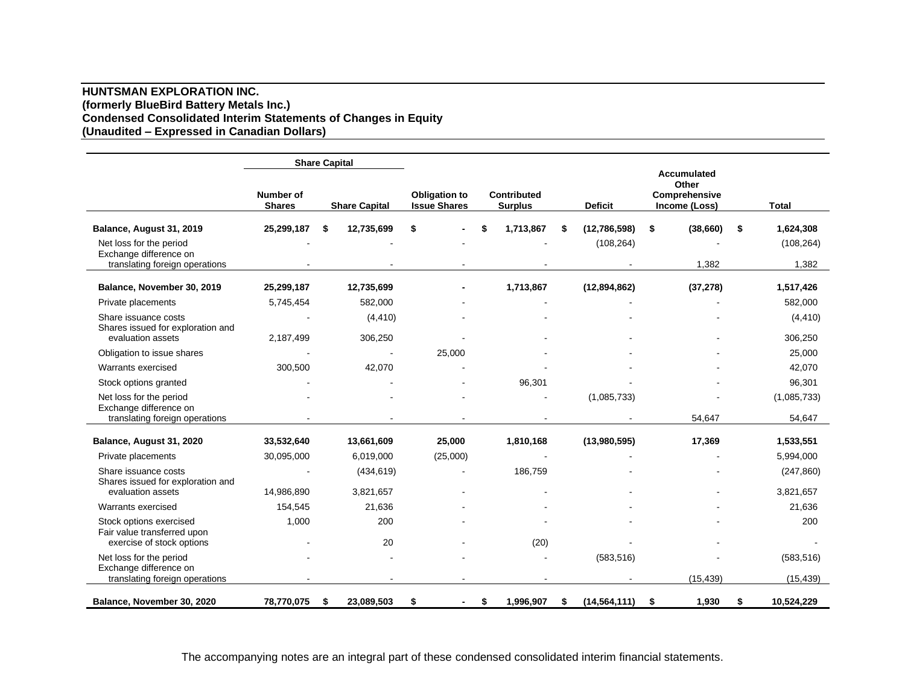## **HUNTSMAN EXPLORATION INC. (formerly BlueBird Battery Metals Inc.) Condensed Consolidated Interim Statements of Changes in Equity (Unaudited – Expressed in Canadian Dollars)**

|                                                                                     |                                   | <b>Share Capital</b> |                      |    |                                             |    |                               |    |                |                                                                      |                     |
|-------------------------------------------------------------------------------------|-----------------------------------|----------------------|----------------------|----|---------------------------------------------|----|-------------------------------|----|----------------|----------------------------------------------------------------------|---------------------|
|                                                                                     | <b>Number of</b><br><b>Shares</b> |                      | <b>Share Capital</b> |    | <b>Obligation to</b><br><b>Issue Shares</b> |    | Contributed<br><b>Surplus</b> |    | <b>Deficit</b> | <b>Accumulated</b><br>Other<br><b>Comprehensive</b><br>Income (Loss) | <b>Total</b>        |
| Balance, August 31, 2019                                                            | 25,299,187                        | \$                   | 12,735,699           | \$ |                                             | \$ | 1,713,867                     | S  | (12,786,598)   | \$<br>(38,660)                                                       | \$<br>1,624,308     |
| Net loss for the period<br>Exchange difference on<br>translating foreign operations |                                   |                      |                      |    |                                             |    |                               |    | (108, 264)     | 1,382                                                                | (108, 264)<br>1,382 |
|                                                                                     |                                   |                      |                      |    |                                             |    |                               |    |                |                                                                      |                     |
| Balance, November 30, 2019                                                          | 25,299,187                        |                      | 12,735,699           |    |                                             |    | 1,713,867                     |    | (12, 894, 862) | (37, 278)                                                            | 1,517,426           |
| Private placements                                                                  | 5,745,454                         |                      | 582,000              |    |                                             |    |                               |    |                |                                                                      | 582,000             |
| Share issuance costs<br>Shares issued for exploration and                           |                                   |                      | (4, 410)             |    |                                             |    |                               |    |                |                                                                      | (4, 410)            |
| evaluation assets                                                                   | 2,187,499                         |                      | 306,250              |    |                                             |    |                               |    |                |                                                                      | 306,250             |
| Obligation to issue shares                                                          |                                   |                      |                      |    | 25,000                                      |    |                               |    |                |                                                                      | 25,000              |
| Warrants exercised                                                                  | 300,500                           |                      | 42,070               |    |                                             |    |                               |    |                |                                                                      | 42,070              |
| Stock options granted                                                               |                                   |                      |                      |    |                                             |    | 96,301                        |    |                |                                                                      | 96,301              |
| Net loss for the period<br>Exchange difference on                                   |                                   |                      |                      |    |                                             |    |                               |    | (1,085,733)    |                                                                      | (1,085,733)         |
| translating foreign operations                                                      |                                   |                      |                      |    |                                             |    |                               |    |                | 54,647                                                               | 54,647              |
| Balance, August 31, 2020                                                            | 33,532,640                        |                      | 13,661,609           |    | 25,000                                      |    | 1,810,168                     |    | (13,980,595)   | 17,369                                                               | 1,533,551           |
| Private placements                                                                  | 30,095,000                        |                      | 6,019,000            |    | (25,000)                                    |    |                               |    |                |                                                                      | 5,994,000           |
| Share issuance costs<br>Shares issued for exploration and                           |                                   |                      | (434, 619)           |    |                                             |    | 186,759                       |    |                |                                                                      | (247, 860)          |
| evaluation assets                                                                   | 14,986,890                        |                      | 3,821,657            |    |                                             |    |                               |    |                |                                                                      | 3,821,657           |
| Warrants exercised                                                                  | 154,545                           |                      | 21,636               |    |                                             |    |                               |    |                |                                                                      | 21,636              |
| Stock options exercised<br>Fair value transferred upon                              | 1,000                             |                      | 200                  |    |                                             |    |                               |    |                |                                                                      | 200                 |
| exercise of stock options                                                           |                                   |                      | 20                   |    |                                             |    | (20)                          |    |                |                                                                      |                     |
| Net loss for the period<br>Exchange difference on                                   |                                   |                      |                      |    |                                             |    |                               |    | (583, 516)     |                                                                      | (583, 516)          |
| translating foreign operations                                                      |                                   |                      |                      |    |                                             |    |                               |    |                | (15, 439)                                                            | (15, 439)           |
| Balance, November 30, 2020                                                          | 78,770,075                        | \$                   | 23,089,503           | S  |                                             | \$ | 1,996,907                     | \$ | (14, 564, 111) | \$<br>1,930                                                          | \$<br>10,524,229    |

The accompanying notes are an integral part of these condensed consolidated interim financial statements.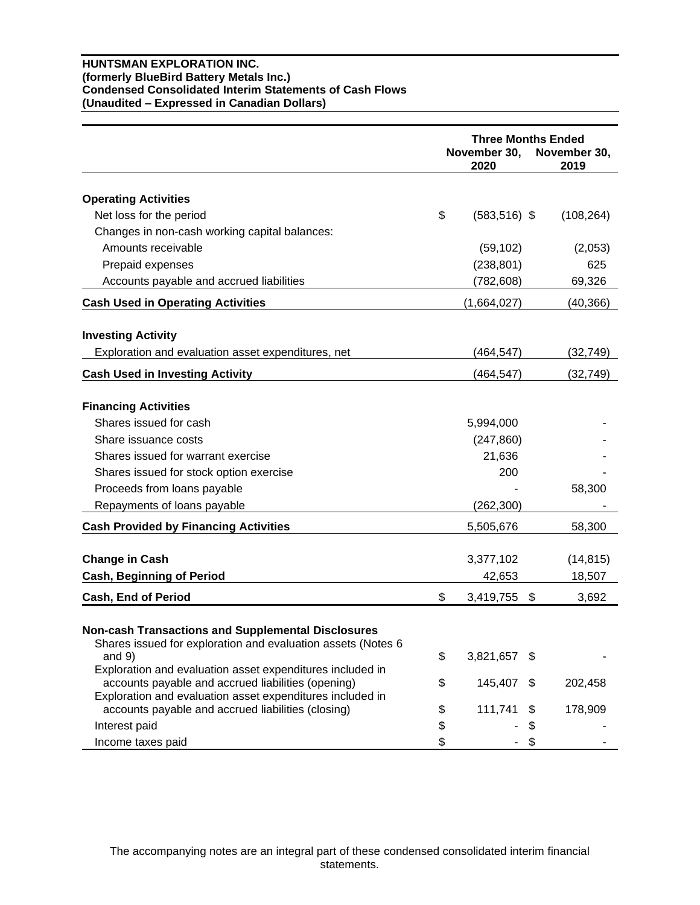## **HUNTSMAN EXPLORATION INC. (formerly BlueBird Battery Metals Inc.) Condensed Consolidated Interim Statements of Cash Flows (Unaudited – Expressed in Canadian Dollars)**

|                                                                                                                 | <b>Three Months Ended</b><br>November 30,<br>November 30,<br>2020<br>2019 |    |            |  |
|-----------------------------------------------------------------------------------------------------------------|---------------------------------------------------------------------------|----|------------|--|
| <b>Operating Activities</b>                                                                                     |                                                                           |    |            |  |
| Net loss for the period                                                                                         | \$<br>$(583, 516)$ \$                                                     |    | (108, 264) |  |
| Changes in non-cash working capital balances:                                                                   |                                                                           |    |            |  |
| Amounts receivable                                                                                              | (59, 102)                                                                 |    | (2,053)    |  |
| Prepaid expenses                                                                                                | (238, 801)                                                                |    | 625        |  |
| Accounts payable and accrued liabilities                                                                        | (782, 608)                                                                |    | 69,326     |  |
| <b>Cash Used in Operating Activities</b>                                                                        | (1,664,027)                                                               |    | (40, 366)  |  |
| <b>Investing Activity</b>                                                                                       |                                                                           |    |            |  |
| Exploration and evaluation asset expenditures, net                                                              | (464, 547)                                                                |    | (32, 749)  |  |
| <b>Cash Used in Investing Activity</b>                                                                          | (464, 547)                                                                |    | (32, 749)  |  |
|                                                                                                                 |                                                                           |    |            |  |
| <b>Financing Activities</b>                                                                                     |                                                                           |    |            |  |
| Shares issued for cash                                                                                          | 5,994,000                                                                 |    |            |  |
| Share issuance costs                                                                                            | (247, 860)                                                                |    |            |  |
| Shares issued for warrant exercise                                                                              | 21,636                                                                    |    |            |  |
| Shares issued for stock option exercise                                                                         | 200                                                                       |    |            |  |
| Proceeds from loans payable                                                                                     |                                                                           |    | 58,300     |  |
| Repayments of loans payable                                                                                     | (262, 300)                                                                |    |            |  |
| <b>Cash Provided by Financing Activities</b>                                                                    | 5,505,676                                                                 |    | 58,300     |  |
| <b>Change in Cash</b>                                                                                           | 3,377,102                                                                 |    | (14, 815)  |  |
| <b>Cash, Beginning of Period</b>                                                                                | 42,653                                                                    |    | 18,507     |  |
|                                                                                                                 | \$                                                                        |    | 3,692      |  |
| <b>Cash, End of Period</b>                                                                                      | 3,419,755                                                                 | \$ |            |  |
| <b>Non-cash Transactions and Supplemental Disclosures</b>                                                       |                                                                           |    |            |  |
| Shares issued for exploration and evaluation assets (Notes 6                                                    |                                                                           |    |            |  |
| and $9)$                                                                                                        | \$<br>3,821,657                                                           |    |            |  |
| Exploration and evaluation asset expenditures included in<br>accounts payable and accrued liabilities (opening) | \$<br>145,407                                                             | \$ | 202,458    |  |
| Exploration and evaluation asset expenditures included in                                                       |                                                                           |    |            |  |
| accounts payable and accrued liabilities (closing)                                                              | \$<br>111,741                                                             | \$ | 178,909    |  |
| Interest paid                                                                                                   | \$                                                                        | \$ |            |  |
| Income taxes paid                                                                                               | \$                                                                        | \$ |            |  |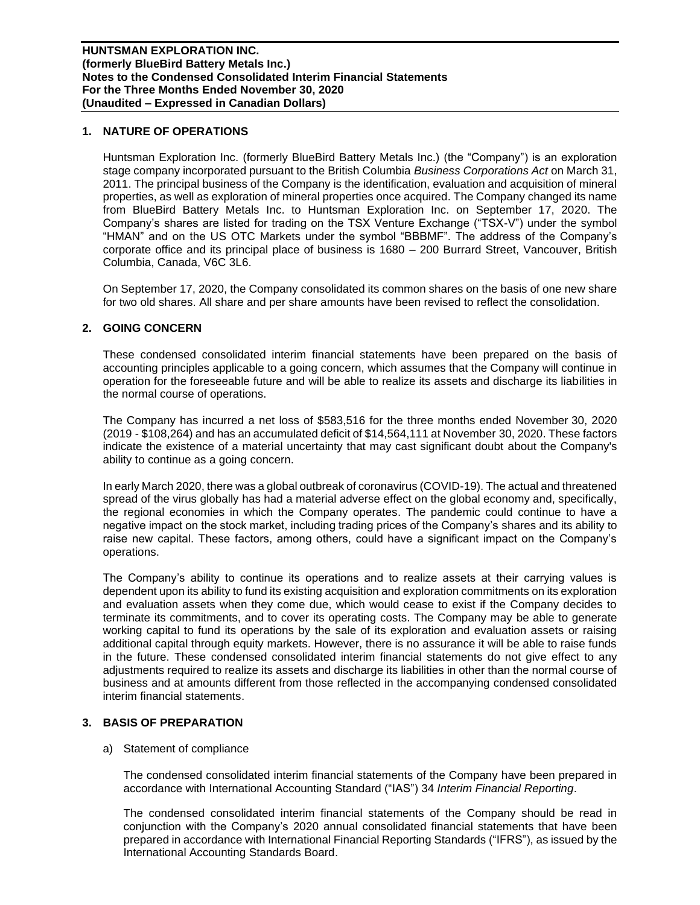# **1. NATURE OF OPERATIONS**

Huntsman Exploration Inc. (formerly BlueBird Battery Metals Inc.) (the "Company") is an exploration stage company incorporated pursuant to the British Columbia *Business Corporations Act* on March 31, 2011. The principal business of the Company is the identification, evaluation and acquisition of mineral properties, as well as exploration of mineral properties once acquired. The Company changed its name from BlueBird Battery Metals Inc. to Huntsman Exploration Inc. on September 17, 2020. The Company's shares are listed for trading on the TSX Venture Exchange ("TSX-V") under the symbol "HMAN" and on the US OTC Markets under the symbol "BBBMF". The address of the Company's corporate office and its principal place of business is 1680 – 200 Burrard Street, Vancouver, British Columbia, Canada, V6C 3L6.

On September 17, 2020, the Company consolidated its common shares on the basis of one new share for two old shares. All share and per share amounts have been revised to reflect the consolidation.

## **2. GOING CONCERN**

These condensed consolidated interim financial statements have been prepared on the basis of accounting principles applicable to a going concern, which assumes that the Company will continue in operation for the foreseeable future and will be able to realize its assets and discharge its liabilities in the normal course of operations.

The Company has incurred a net loss of \$583,516 for the three months ended November 30, 2020 (2019 - \$108,264) and has an accumulated deficit of \$14,564,111 at November 30, 2020. These factors indicate the existence of a material uncertainty that may cast significant doubt about the Company's ability to continue as a going concern.

In early March 2020, there was a global outbreak of coronavirus (COVID-19). The actual and threatened spread of the virus globally has had a material adverse effect on the global economy and, specifically, the regional economies in which the Company operates. The pandemic could continue to have a negative impact on the stock market, including trading prices of the Company's shares and its ability to raise new capital. These factors, among others, could have a significant impact on the Company's operations.

The Company's ability to continue its operations and to realize assets at their carrying values is dependent upon its ability to fund its existing acquisition and exploration commitments on its exploration and evaluation assets when they come due, which would cease to exist if the Company decides to terminate its commitments, and to cover its operating costs. The Company may be able to generate working capital to fund its operations by the sale of its exploration and evaluation assets or raising additional capital through equity markets. However, there is no assurance it will be able to raise funds in the future. These condensed consolidated interim financial statements do not give effect to any adjustments required to realize its assets and discharge its liabilities in other than the normal course of business and at amounts different from those reflected in the accompanying condensed consolidated interim financial statements.

## **3. BASIS OF PREPARATION**

#### a) Statement of compliance

The condensed consolidated interim financial statements of the Company have been prepared in accordance with International Accounting Standard ("IAS") 34 *Interim Financial Reporting*.

The condensed consolidated interim financial statements of the Company should be read in conjunction with the Company's 2020 annual consolidated financial statements that have been prepared in accordance with International Financial Reporting Standards ("IFRS"), as issued by the International Accounting Standards Board.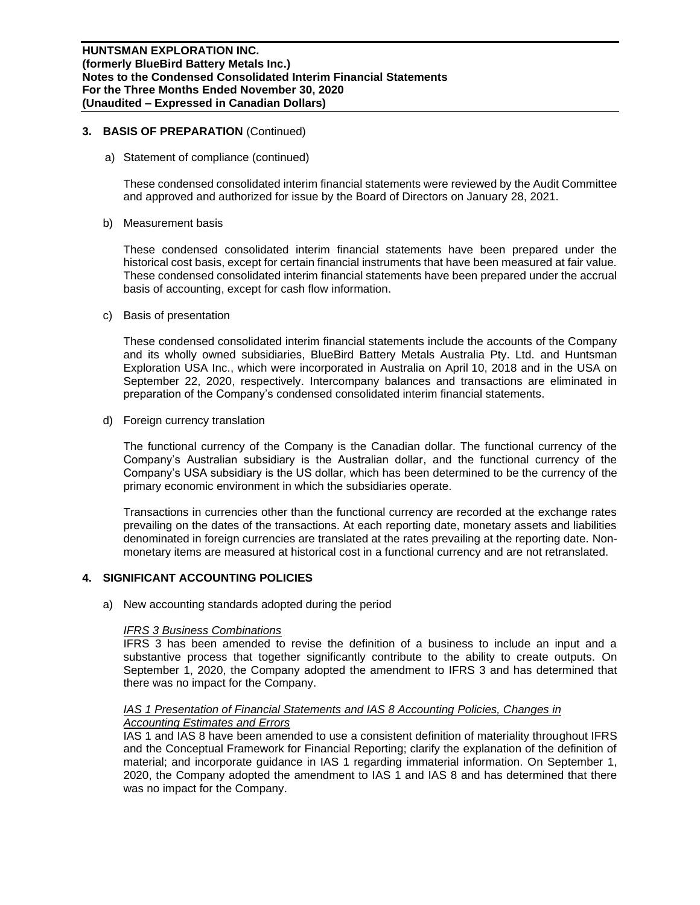## **3. BASIS OF PREPARATION** (Continued)

a) Statement of compliance (continued)

These condensed consolidated interim financial statements were reviewed by the Audit Committee and approved and authorized for issue by the Board of Directors on January 28, 2021.

b) Measurement basis

These condensed consolidated interim financial statements have been prepared under the historical cost basis, except for certain financial instruments that have been measured at fair value. These condensed consolidated interim financial statements have been prepared under the accrual basis of accounting, except for cash flow information.

c) Basis of presentation

These condensed consolidated interim financial statements include the accounts of the Company and its wholly owned subsidiaries, BlueBird Battery Metals Australia Pty. Ltd. and Huntsman Exploration USA Inc., which were incorporated in Australia on April 10, 2018 and in the USA on September 22, 2020, respectively. Intercompany balances and transactions are eliminated in preparation of the Company's condensed consolidated interim financial statements.

d) Foreign currency translation

The functional currency of the Company is the Canadian dollar. The functional currency of the Company's Australian subsidiary is the Australian dollar, and the functional currency of the Company's USA subsidiary is the US dollar, which has been determined to be the currency of the primary economic environment in which the subsidiaries operate.

Transactions in currencies other than the functional currency are recorded at the exchange rates prevailing on the dates of the transactions. At each reporting date, monetary assets and liabilities denominated in foreign currencies are translated at the rates prevailing at the reporting date. Nonmonetary items are measured at historical cost in a functional currency and are not retranslated.

# **4. SIGNIFICANT ACCOUNTING POLICIES**

a) New accounting standards adopted during the period

## *IFRS 3 Business Combinations*

IFRS 3 has been amended to revise the definition of a business to include an input and a substantive process that together significantly contribute to the ability to create outputs. On September 1, 2020, the Company adopted the amendment to IFRS 3 and has determined that there was no impact for the Company.

# *IAS 1 Presentation of Financial Statements and IAS 8 Accounting Policies, Changes in Accounting Estimates and Errors*

IAS 1 and IAS 8 have been amended to use a consistent definition of materiality throughout IFRS and the Conceptual Framework for Financial Reporting; clarify the explanation of the definition of material; and incorporate guidance in IAS 1 regarding immaterial information. On September 1, 2020, the Company adopted the amendment to IAS 1 and IAS 8 and has determined that there was no impact for the Company.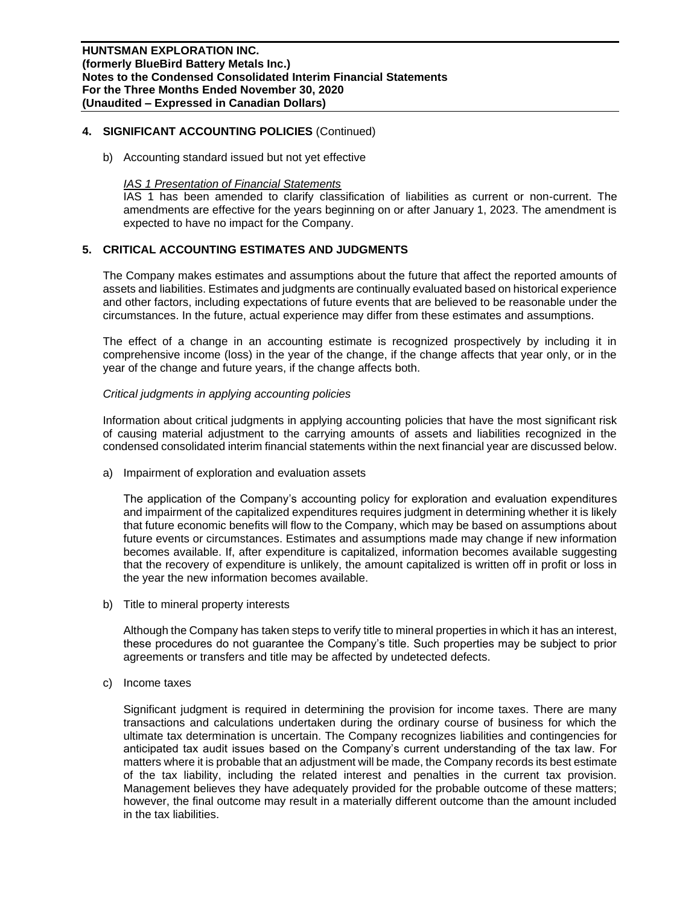# **4. SIGNIFICANT ACCOUNTING POLICIES** (Continued)

b) Accounting standard issued but not yet effective

#### *IAS 1 Presentation of Financial Statements*

IAS 1 has been amended to clarify classification of liabilities as current or non-current. The amendments are effective for the years beginning on or after January 1, 2023. The amendment is expected to have no impact for the Company.

# **5. CRITICAL ACCOUNTING ESTIMATES AND JUDGMENTS**

The Company makes estimates and assumptions about the future that affect the reported amounts of assets and liabilities. Estimates and judgments are continually evaluated based on historical experience and other factors, including expectations of future events that are believed to be reasonable under the circumstances. In the future, actual experience may differ from these estimates and assumptions.

The effect of a change in an accounting estimate is recognized prospectively by including it in comprehensive income (loss) in the year of the change, if the change affects that year only, or in the year of the change and future years, if the change affects both.

## *Critical judgments in applying accounting policies*

Information about critical judgments in applying accounting policies that have the most significant risk of causing material adjustment to the carrying amounts of assets and liabilities recognized in the condensed consolidated interim financial statements within the next financial year are discussed below.

a) Impairment of exploration and evaluation assets

The application of the Company's accounting policy for exploration and evaluation expenditures and impairment of the capitalized expenditures requires judgment in determining whether it is likely that future economic benefits will flow to the Company, which may be based on assumptions about future events or circumstances. Estimates and assumptions made may change if new information becomes available. If, after expenditure is capitalized, information becomes available suggesting that the recovery of expenditure is unlikely, the amount capitalized is written off in profit or loss in the year the new information becomes available.

b) Title to mineral property interests

Although the Company has taken steps to verify title to mineral properties in which it has an interest, these procedures do not guarantee the Company's title. Such properties may be subject to prior agreements or transfers and title may be affected by undetected defects.

c) Income taxes

Significant judgment is required in determining the provision for income taxes. There are many transactions and calculations undertaken during the ordinary course of business for which the ultimate tax determination is uncertain. The Company recognizes liabilities and contingencies for anticipated tax audit issues based on the Company's current understanding of the tax law. For matters where it is probable that an adjustment will be made, the Company records its best estimate of the tax liability, including the related interest and penalties in the current tax provision. Management believes they have adequately provided for the probable outcome of these matters; however, the final outcome may result in a materially different outcome than the amount included in the tax liabilities.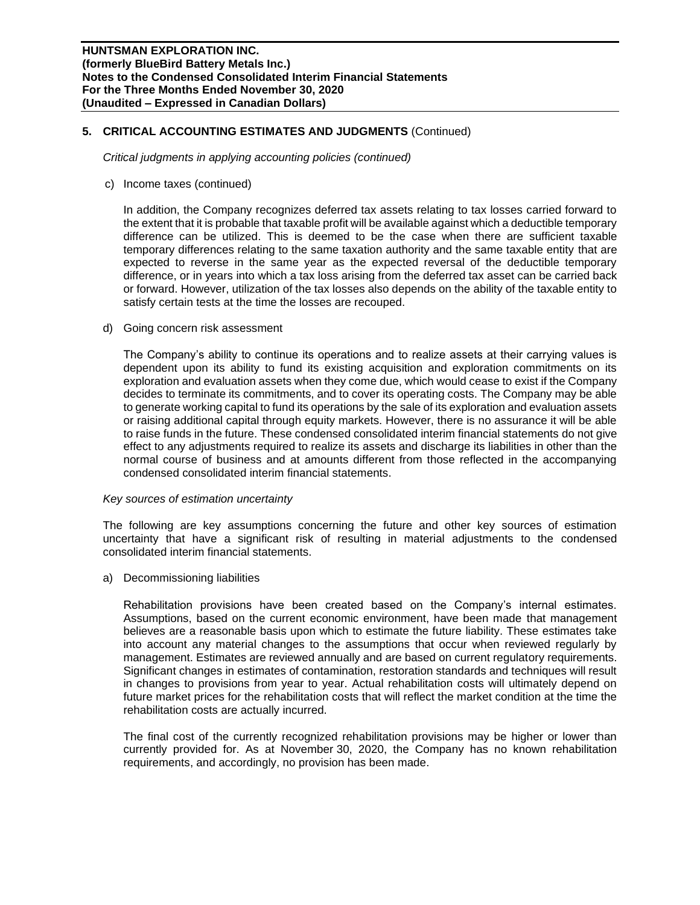# **5. CRITICAL ACCOUNTING ESTIMATES AND JUDGMENTS** (Continued)

*Critical judgments in applying accounting policies (continued)*

c) Income taxes (continued)

In addition, the Company recognizes deferred tax assets relating to tax losses carried forward to the extent that it is probable that taxable profit will be available against which a deductible temporary difference can be utilized. This is deemed to be the case when there are sufficient taxable temporary differences relating to the same taxation authority and the same taxable entity that are expected to reverse in the same year as the expected reversal of the deductible temporary difference, or in years into which a tax loss arising from the deferred tax asset can be carried back or forward. However, utilization of the tax losses also depends on the ability of the taxable entity to satisfy certain tests at the time the losses are recouped.

d) Going concern risk assessment

The Company's ability to continue its operations and to realize assets at their carrying values is dependent upon its ability to fund its existing acquisition and exploration commitments on its exploration and evaluation assets when they come due, which would cease to exist if the Company decides to terminate its commitments, and to cover its operating costs. The Company may be able to generate working capital to fund its operations by the sale of its exploration and evaluation assets or raising additional capital through equity markets. However, there is no assurance it will be able to raise funds in the future. These condensed consolidated interim financial statements do not give effect to any adjustments required to realize its assets and discharge its liabilities in other than the normal course of business and at amounts different from those reflected in the accompanying condensed consolidated interim financial statements.

#### *Key sources of estimation uncertainty*

The following are key assumptions concerning the future and other key sources of estimation uncertainty that have a significant risk of resulting in material adjustments to the condensed consolidated interim financial statements.

a) Decommissioning liabilities

Rehabilitation provisions have been created based on the Company's internal estimates. Assumptions, based on the current economic environment, have been made that management believes are a reasonable basis upon which to estimate the future liability. These estimates take into account any material changes to the assumptions that occur when reviewed regularly by management. Estimates are reviewed annually and are based on current regulatory requirements. Significant changes in estimates of contamination, restoration standards and techniques will result in changes to provisions from year to year. Actual rehabilitation costs will ultimately depend on future market prices for the rehabilitation costs that will reflect the market condition at the time the rehabilitation costs are actually incurred.

The final cost of the currently recognized rehabilitation provisions may be higher or lower than currently provided for. As at November 30, 2020, the Company has no known rehabilitation requirements, and accordingly, no provision has been made.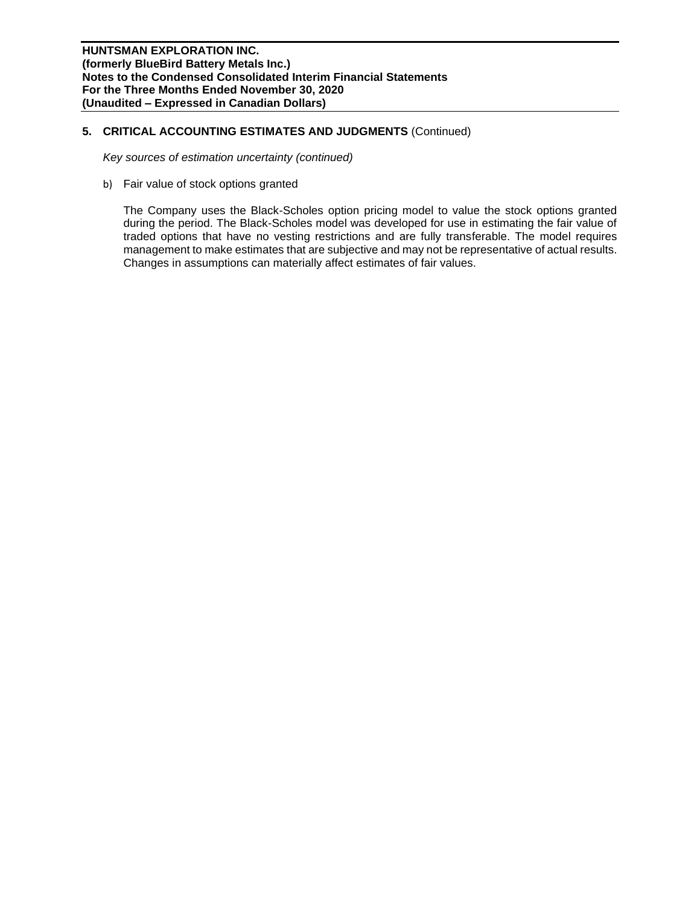**HUNTSMAN EXPLORATION INC. (formerly BlueBird Battery Metals Inc.) Notes to the Condensed Consolidated Interim Financial Statements For the Three Months Ended November 30, 2020 (Unaudited – Expressed in Canadian Dollars)**

# **5. CRITICAL ACCOUNTING ESTIMATES AND JUDGMENTS** (Continued)

*Key sources of estimation uncertainty (continued)*

b) Fair value of stock options granted

The Company uses the Black-Scholes option pricing model to value the stock options granted during the period. The Black-Scholes model was developed for use in estimating the fair value of traded options that have no vesting restrictions and are fully transferable. The model requires management to make estimates that are subjective and may not be representative of actual results. Changes in assumptions can materially affect estimates of fair values.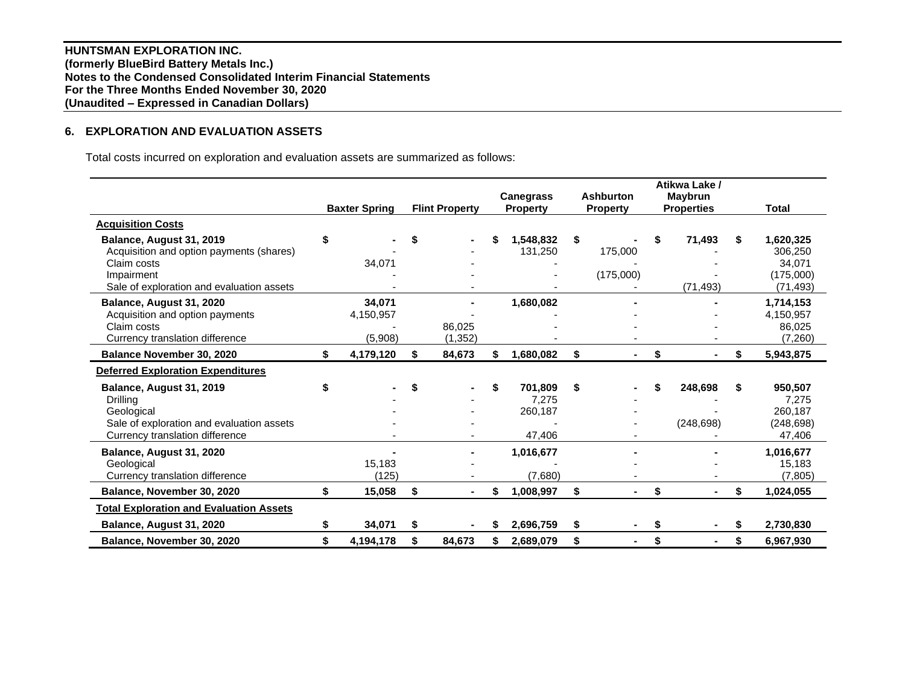**HUNTSMAN EXPLORATION INC. (formerly BlueBird Battery Metals Inc.) Notes to the Condensed Consolidated Interim Financial Statements For the Three Months Ended November 30, 2020 (Unaudited – Expressed in Canadian Dollars)**

# **6. EXPLORATION AND EVALUATION ASSETS**

Total costs incurred on exploration and evaluation assets are summarized as follows:

|                                                                                                                                                |                                |    |                       | <b>Canegrass</b>                            | <b>Ashburton</b>           |    | Atikwa Lake /<br><b>Maybrun</b> |                                                                |
|------------------------------------------------------------------------------------------------------------------------------------------------|--------------------------------|----|-----------------------|---------------------------------------------|----------------------------|----|---------------------------------|----------------------------------------------------------------|
|                                                                                                                                                | <b>Baxter Spring</b>           |    | <b>Flint Property</b> | <b>Property</b>                             | <b>Property</b>            |    | <b>Properties</b>               | <b>Total</b>                                                   |
| <b>Acquisition Costs</b>                                                                                                                       |                                |    |                       |                                             |                            |    |                                 |                                                                |
| Balance, August 31, 2019<br>Acquisition and option payments (shares)<br>Claim costs<br>Impairment<br>Sale of exploration and evaluation assets | 34,071                         |    |                       | \$<br>1,548,832<br>131,250                  | \$<br>175,000<br>(175,000) | S  | 71,493<br>(71, 493)             | \$<br>1,620,325<br>306,250<br>34,071<br>(175,000)<br>(71, 493) |
| Balance, August 31, 2020<br>Acquisition and option payments<br>Claim costs<br>Currency translation difference                                  | 34,071<br>4,150,957<br>(5,908) |    | 86.025<br>(1, 352)    | 1,680,082                                   |                            |    |                                 | 1,714,153<br>4,150,957<br>86,025<br>(7, 260)                   |
| <b>Balance November 30, 2020</b>                                                                                                               | \$<br>4,179,120                | \$ | 84,673                | \$<br>1,680,082                             | \$<br>۰                    | \$ |                                 | \$<br>5,943,875                                                |
| <b>Deferred Exploration Expenditures</b>                                                                                                       |                                |    |                       |                                             |                            |    |                                 |                                                                |
| Balance, August 31, 2019<br>Drilling<br>Geological<br>Sale of exploration and evaluation assets<br>Currency translation difference             |                                |    |                       | \$<br>701,809<br>7,275<br>260,187<br>47,406 | \$                         |    | 248,698<br>(248, 698)           | \$<br>950,507<br>7,275<br>260,187<br>(248, 698)<br>47,406      |
| Balance, August 31, 2020<br>Geological<br><b>Currency translation difference</b>                                                               | 15,183<br>(125)                |    |                       | 1,016,677<br>(7,680)                        |                            |    |                                 | 1,016,677<br>15,183<br>(7,805)                                 |
| Balance, November 30, 2020                                                                                                                     | \$<br>15,058                   | S  |                       | \$<br>1,008,997                             | \$                         | \$ |                                 | \$<br>1,024,055                                                |
| <b>Total Exploration and Evaluation Assets</b>                                                                                                 |                                |    |                       |                                             |                            |    |                                 |                                                                |
| Balance, August 31, 2020                                                                                                                       | \$<br>34,071                   | \$ |                       | \$<br>2,696,759                             | \$<br>$\blacksquare$       | \$ |                                 | \$<br>2,730,830                                                |
| Balance, November 30, 2020                                                                                                                     | \$<br>4,194,178                | \$ | 84,673                | \$<br>2,689,079                             | \$                         | \$ |                                 | \$<br>6,967,930                                                |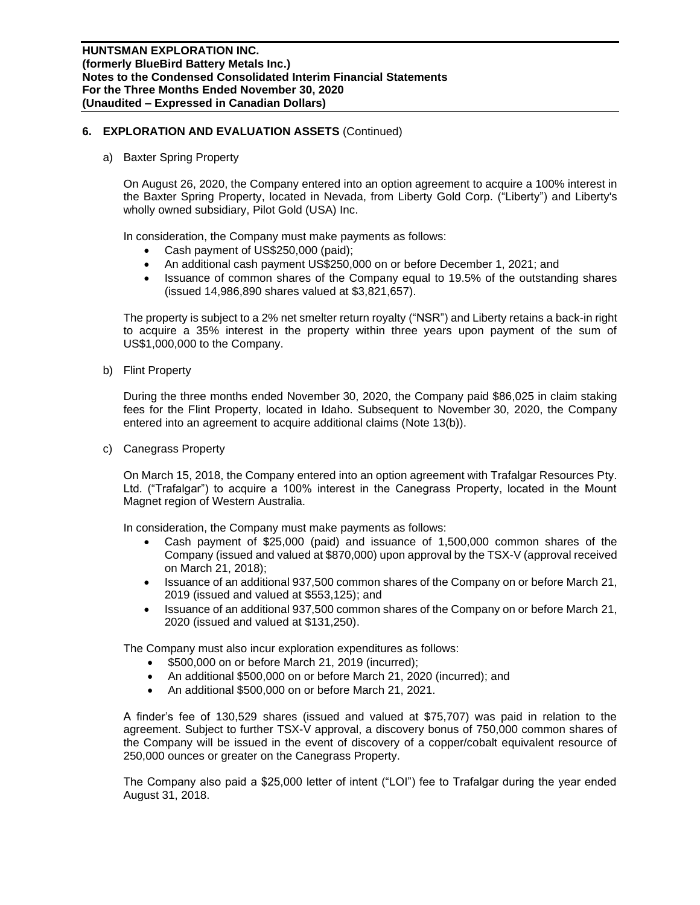# **6. EXPLORATION AND EVALUATION ASSETS** (Continued)

a) Baxter Spring Property

On August 26, 2020, the Company entered into an option agreement to acquire a 100% interest in the Baxter Spring Property, located in Nevada, from Liberty Gold Corp. ("Liberty") and Liberty's wholly owned subsidiary, Pilot Gold (USA) Inc.

In consideration, the Company must make payments as follows:

- Cash payment of US\$250,000 (paid);
- An additional cash payment US\$250,000 on or before December 1, 2021; and
- Issuance of common shares of the Company equal to 19.5% of the outstanding shares (issued 14,986,890 shares valued at \$3,821,657).

The property is subject to a 2% net smelter return royalty ("NSR") and Liberty retains a back-in right to acquire a 35% interest in the property within three years upon payment of the sum of US\$1,000,000 to the Company.

b) Flint Property

During the three months ended November 30, 2020, the Company paid \$86,025 in claim staking fees for the Flint Property, located in Idaho. Subsequent to November 30, 2020, the Company entered into an agreement to acquire additional claims (Note 13(b)).

c) Canegrass Property

On March 15, 2018, the Company entered into an option agreement with Trafalgar Resources Pty. Ltd. ("Trafalgar") to acquire a 100% interest in the Canegrass Property, located in the Mount Magnet region of Western Australia.

In consideration, the Company must make payments as follows:

- Cash payment of \$25,000 (paid) and issuance of 1,500,000 common shares of the Company (issued and valued at \$870,000) upon approval by the TSX-V (approval received on March 21, 2018);
- Issuance of an additional 937,500 common shares of the Company on or before March 21, 2019 (issued and valued at \$553,125); and
- Issuance of an additional 937,500 common shares of the Company on or before March 21, 2020 (issued and valued at \$131,250).

The Company must also incur exploration expenditures as follows:

- \$500,000 on or before March 21, 2019 (incurred);
- An additional \$500,000 on or before March 21, 2020 (incurred); and
- An additional \$500,000 on or before March 21, 2021.

A finder's fee of 130,529 shares (issued and valued at \$75,707) was paid in relation to the agreement. Subject to further TSX-V approval, a discovery bonus of 750,000 common shares of the Company will be issued in the event of discovery of a copper/cobalt equivalent resource of 250,000 ounces or greater on the Canegrass Property.

The Company also paid a \$25,000 letter of intent ("LOI") fee to Trafalgar during the year ended August 31, 2018.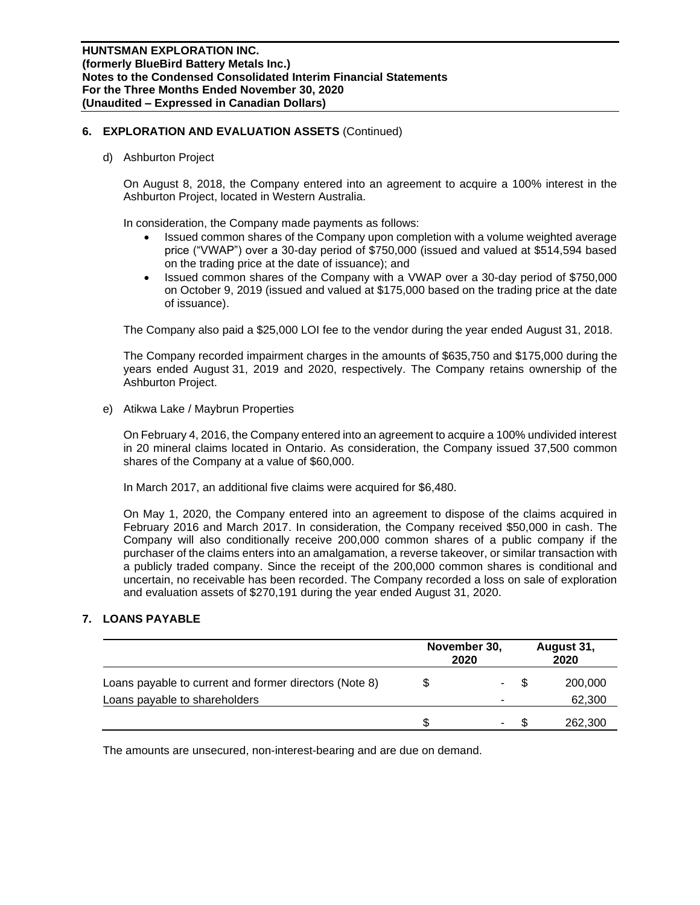# **6. EXPLORATION AND EVALUATION ASSETS** (Continued)

d) Ashburton Project

On August 8, 2018, the Company entered into an agreement to acquire a 100% interest in the Ashburton Project, located in Western Australia.

In consideration, the Company made payments as follows:

- Issued common shares of the Company upon completion with a volume weighted average price ("VWAP") over a 30-day period of \$750,000 (issued and valued at \$514,594 based on the trading price at the date of issuance); and
- Issued common shares of the Company with a VWAP over a 30-day period of \$750,000 on October 9, 2019 (issued and valued at \$175,000 based on the trading price at the date of issuance).

The Company also paid a \$25,000 LOI fee to the vendor during the year ended August 31, 2018.

The Company recorded impairment charges in the amounts of \$635,750 and \$175,000 during the years ended August 31, 2019 and 2020, respectively. The Company retains ownership of the Ashburton Project.

e) Atikwa Lake / Maybrun Properties

On February 4, 2016, the Company entered into an agreement to acquire a 100% undivided interest in 20 mineral claims located in Ontario. As consideration, the Company issued 37,500 common shares of the Company at a value of \$60,000.

In March 2017, an additional five claims were acquired for \$6,480.

On May 1, 2020, the Company entered into an agreement to dispose of the claims acquired in February 2016 and March 2017. In consideration, the Company received \$50,000 in cash. The Company will also conditionally receive 200,000 common shares of a public company if the purchaser of the claims enters into an amalgamation, a reverse takeover, or similar transaction with a publicly traded company. Since the receipt of the 200,000 common shares is conditional and uncertain, no receivable has been recorded. The Company recorded a loss on sale of exploration and evaluation assets of \$270,191 during the year ended August 31, 2020.

# **7. LOANS PAYABLE**

|                                                        | November 30,<br>2020 | August 31,<br>2020 |
|--------------------------------------------------------|----------------------|--------------------|
| Loans payable to current and former directors (Note 8) | ۰.                   | 200,000            |
| Loans payable to shareholders                          |                      | 62,300             |
|                                                        | -                    | 262,300            |

The amounts are unsecured, non-interest-bearing and are due on demand.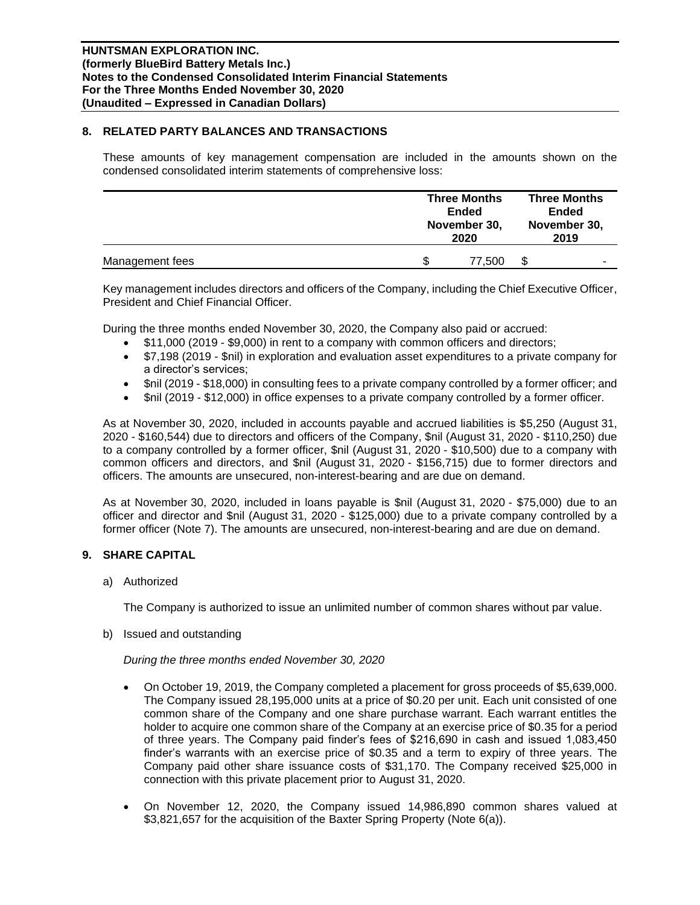# **8. RELATED PARTY BALANCES AND TRANSACTIONS**

These amounts of key management compensation are included in the amounts shown on the condensed consolidated interim statements of comprehensive loss:

|                 | <b>Three Months</b><br>Ended<br>November 30,<br>2020 | <b>Three Months</b><br>Ended<br>November 30,<br>2019 |
|-----------------|------------------------------------------------------|------------------------------------------------------|
| Management fees | 77.500                                               | -                                                    |

Key management includes directors and officers of the Company, including the Chief Executive Officer, President and Chief Financial Officer.

During the three months ended November 30, 2020, the Company also paid or accrued:

- \$11,000 (2019 \$9,000) in rent to a company with common officers and directors;
- \$7,198 (2019 \$nil) in exploration and evaluation asset expenditures to a private company for a director's services;
- \$nil (2019 \$18,000) in consulting fees to a private company controlled by a former officer; and
- \$nil (2019 \$12,000) in office expenses to a private company controlled by a former officer.

As at November 30, 2020, included in accounts payable and accrued liabilities is \$5,250 (August 31, 2020 - \$160,544) due to directors and officers of the Company, \$nil (August 31, 2020 - \$110,250) due to a company controlled by a former officer, \$nil (August 31, 2020 - \$10,500) due to a company with common officers and directors, and \$nil (August 31, 2020 - \$156,715) due to former directors and officers. The amounts are unsecured, non-interest-bearing and are due on demand.

As at November 30, 2020, included in loans payable is \$nil (August 31, 2020 - \$75,000) due to an officer and director and \$nil (August 31, 2020 - \$125,000) due to a private company controlled by a former officer (Note 7). The amounts are unsecured, non-interest-bearing and are due on demand.

# **9. SHARE CAPITAL**

a) Authorized

The Company is authorized to issue an unlimited number of common shares without par value.

b) Issued and outstanding

*During the three months ended November 30, 2020*

- On October 19, 2019, the Company completed a placement for gross proceeds of \$5,639,000. The Company issued 28,195,000 units at a price of \$0.20 per unit. Each unit consisted of one common share of the Company and one share purchase warrant. Each warrant entitles the holder to acquire one common share of the Company at an exercise price of \$0.35 for a period of three years. The Company paid finder's fees of \$216,690 in cash and issued 1,083,450 finder's warrants with an exercise price of \$0.35 and a term to expiry of three years. The Company paid other share issuance costs of \$31,170. The Company received \$25,000 in connection with this private placement prior to August 31, 2020.
- On November 12, 2020, the Company issued 14,986,890 common shares valued at \$3,821,657 for the acquisition of the Baxter Spring Property (Note 6(a)).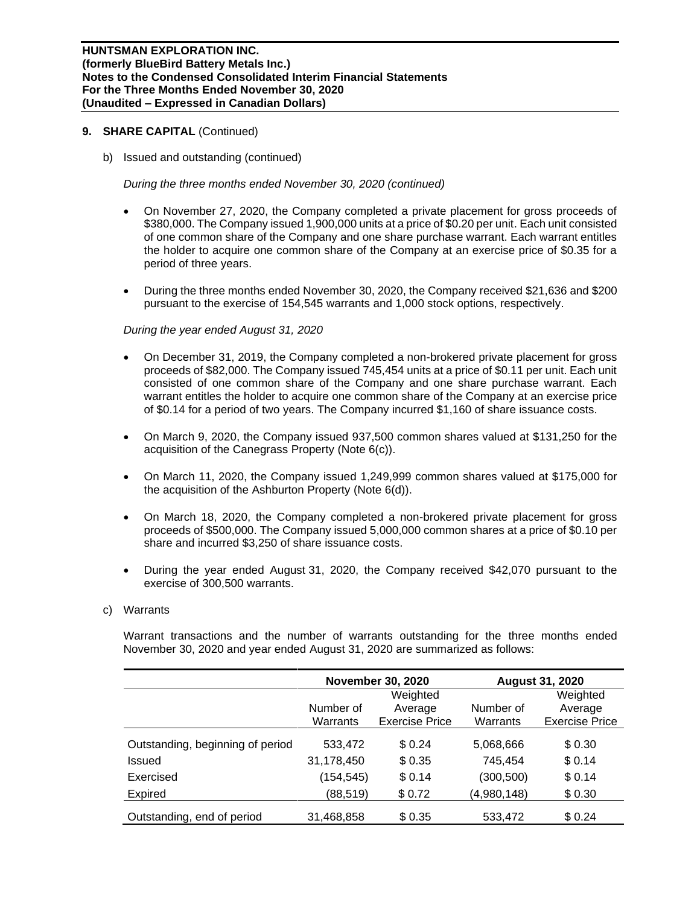b) Issued and outstanding (continued)

*During the three months ended November 30, 2020 (continued)*

- On November 27, 2020, the Company completed a private placement for gross proceeds of \$380,000. The Company issued 1,900,000 units at a price of \$0.20 per unit. Each unit consisted of one common share of the Company and one share purchase warrant. Each warrant entitles the holder to acquire one common share of the Company at an exercise price of \$0.35 for a period of three years.
- During the three months ended November 30, 2020, the Company received \$21,636 and \$200 pursuant to the exercise of 154,545 warrants and 1,000 stock options, respectively.

#### *During the year ended August 31, 2020*

- On December 31, 2019, the Company completed a non-brokered private placement for gross proceeds of \$82,000. The Company issued 745,454 units at a price of \$0.11 per unit. Each unit consisted of one common share of the Company and one share purchase warrant. Each warrant entitles the holder to acquire one common share of the Company at an exercise price of \$0.14 for a period of two years. The Company incurred \$1,160 of share issuance costs.
- On March 9, 2020, the Company issued 937,500 common shares valued at \$131,250 for the acquisition of the Canegrass Property (Note 6(c)).
- On March 11, 2020, the Company issued 1,249,999 common shares valued at \$175,000 for the acquisition of the Ashburton Property (Note 6(d)).
- On March 18, 2020, the Company completed a non-brokered private placement for gross proceeds of \$500,000. The Company issued 5,000,000 common shares at a price of \$0.10 per share and incurred \$3,250 of share issuance costs.
- During the year ended August 31, 2020, the Company received \$42,070 pursuant to the exercise of 300,500 warrants.
- c) Warrants

Warrant transactions and the number of warrants outstanding for the three months ended November 30, 2020 and year ended August 31, 2020 are summarized as follows:

|                                  |            | <b>November 30, 2020</b> |             | <b>August 31, 2020</b> |
|----------------------------------|------------|--------------------------|-------------|------------------------|
|                                  |            | Weighted                 |             | Weighted               |
|                                  | Number of  | Average                  | Number of   | Average                |
|                                  | Warrants   | <b>Exercise Price</b>    | Warrants    | <b>Exercise Price</b>  |
| Outstanding, beginning of period | 533,472    | \$0.24                   | 5,068,666   | \$0.30                 |
| Issued                           | 31,178,450 | \$ 0.35                  | 745.454     | \$0.14                 |
| Exercised                        | (154,545)  | \$0.14                   | (300, 500)  | \$0.14                 |
| <b>Expired</b>                   | (88, 519)  | \$0.72                   | (4,980,148) | \$0.30                 |
| Outstanding, end of period       | 31,468,858 | \$0.35                   | 533,472     | \$0.24                 |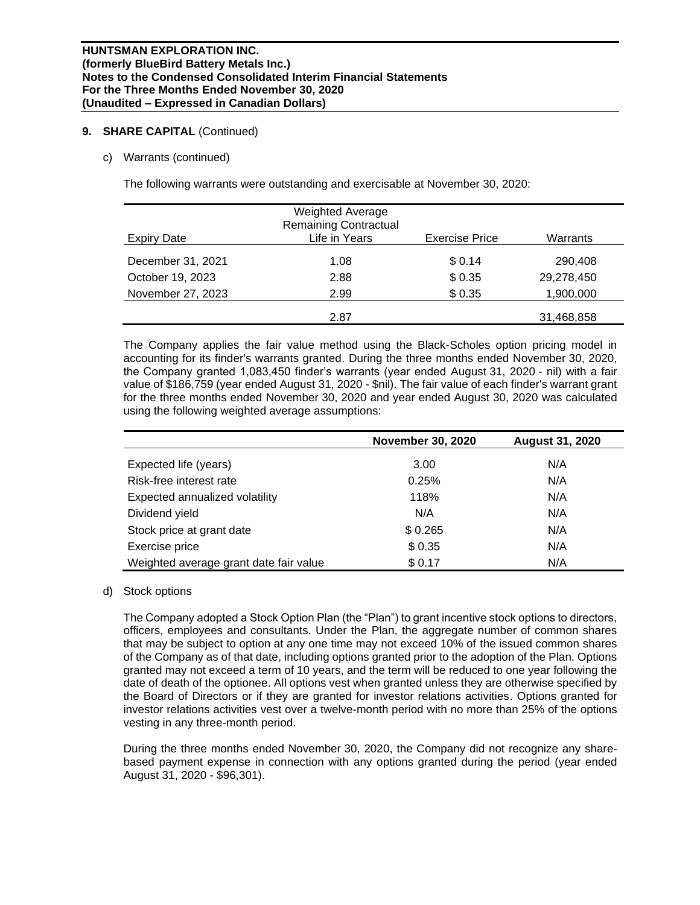## c) Warrants (continued)

The following warrants were outstanding and exercisable at November 30, 2020:

| <b>Expiry Date</b> | <b>Weighted Average</b><br><b>Remaining Contractual</b><br>Life in Years | <b>Exercise Price</b> | Warrants   |
|--------------------|--------------------------------------------------------------------------|-----------------------|------------|
| December 31, 2021  | 1.08                                                                     | \$0.14                | 290,408    |
| October 19, 2023   | 2.88                                                                     | \$0.35                | 29,278,450 |
| November 27, 2023  | 2.99                                                                     | \$0.35                | 1,900,000  |
|                    | 2.87                                                                     |                       | 31,468,858 |

The Company applies the fair value method using the Black-Scholes option pricing model in accounting for its finder's warrants granted. During the three months ended November 30, 2020, the Company granted 1,083,450 finder's warrants (year ended August 31, 2020 - nil) with a fair value of \$186,759 (year ended August 31, 2020 - \$nil). The fair value of each finder's warrant grant for the three months ended November 30, 2020 and year ended August 30, 2020 was calculated using the following weighted average assumptions:

|                                        | <b>November 30, 2020</b> | <b>August 31, 2020</b> |
|----------------------------------------|--------------------------|------------------------|
| Expected life (years)                  | 3.00                     | N/A                    |
| Risk-free interest rate                | 0.25%                    | N/A                    |
| Expected annualized volatility         | 118%                     | N/A                    |
| Dividend yield                         | N/A                      | N/A                    |
| Stock price at grant date              | \$0.265                  | N/A                    |
| Exercise price                         | \$0.35                   | N/A                    |
| Weighted average grant date fair value | \$0.17                   | N/A                    |

## d) Stock options

The Company adopted a Stock Option Plan (the "Plan") to grant incentive stock options to directors, officers, employees and consultants. Under the Plan, the aggregate number of common shares that may be subject to option at any one time may not exceed 10% of the issued common shares of the Company as of that date, including options granted prior to the adoption of the Plan. Options granted may not exceed a term of 10 years, and the term will be reduced to one year following the date of death of the optionee. All options vest when granted unless they are otherwise specified by the Board of Directors or if they are granted for investor relations activities. Options granted for investor relations activities vest over a twelve-month period with no more than 25% of the options vesting in any three-month period.

During the three months ended November 30, 2020, the Company did not recognize any sharebased payment expense in connection with any options granted during the period (year ended August 31, 2020 - \$96,301).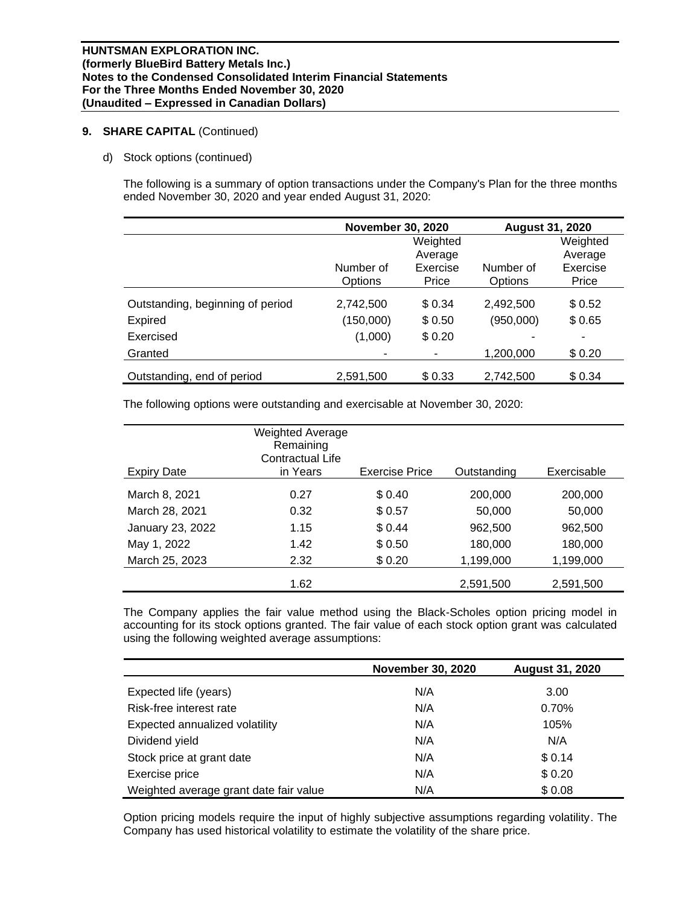d) Stock options (continued)

The following is a summary of option transactions under the Company's Plan for the three months ended November 30, 2020 and year ended August 31, 2020:

|                                  | <b>November 30, 2020</b> |          | <b>August 31, 2020</b> |          |
|----------------------------------|--------------------------|----------|------------------------|----------|
|                                  |                          | Weighted |                        | Weighted |
|                                  |                          | Average  |                        | Average  |
|                                  | Number of                | Exercise | Number of              | Exercise |
|                                  | Options                  | Price    | Options                | Price    |
| Outstanding, beginning of period | 2,742,500                | \$0.34   | 2,492,500              | \$0.52   |
| <b>Expired</b>                   | (150,000)                | \$0.50   | (950,000)              | \$0.65   |
| Exercised                        | (1,000)                  | \$0.20   |                        | ٠        |
| Granted                          |                          |          | 1,200,000              | \$0.20   |
| Outstanding, end of period       | 2,591,500                | \$0.33   | 2,742,500              | \$0.34   |

The following options were outstanding and exercisable at November 30, 2020:

| <b>Expiry Date</b> | <b>Weighted Average</b><br>Remaining<br>Contractual Life<br>in Years | <b>Exercise Price</b> | Outstanding | Exercisable |
|--------------------|----------------------------------------------------------------------|-----------------------|-------------|-------------|
|                    |                                                                      |                       |             |             |
| March 8, 2021      | 0.27                                                                 | \$0.40                | 200,000     | 200,000     |
| March 28, 2021     | 0.32                                                                 | \$0.57                | 50,000      | 50,000      |
| January 23, 2022   | 1.15                                                                 | \$0.44                | 962,500     | 962,500     |
| May 1, 2022        | 1.42                                                                 | \$0.50                | 180,000     | 180,000     |
| March 25, 2023     | 2.32                                                                 | \$0.20                | 1,199,000   | 1,199,000   |
|                    | 1.62                                                                 |                       | 2,591,500   | 2,591,500   |

The Company applies the fair value method using the Black-Scholes option pricing model in accounting for its stock options granted. The fair value of each stock option grant was calculated using the following weighted average assumptions:

|                                        | <b>November 30, 2020</b> | <b>August 31, 2020</b> |
|----------------------------------------|--------------------------|------------------------|
| Expected life (years)                  | N/A                      | 3.00                   |
| Risk-free interest rate                | N/A                      | 0.70%                  |
| Expected annualized volatility         | N/A                      | 105%                   |
| Dividend yield                         | N/A                      | N/A                    |
| Stock price at grant date              | N/A                      | \$0.14                 |
| Exercise price                         | N/A                      | \$0.20                 |
| Weighted average grant date fair value | N/A                      | \$0.08                 |

Option pricing models require the input of highly subjective assumptions regarding volatility. The Company has used historical volatility to estimate the volatility of the share price.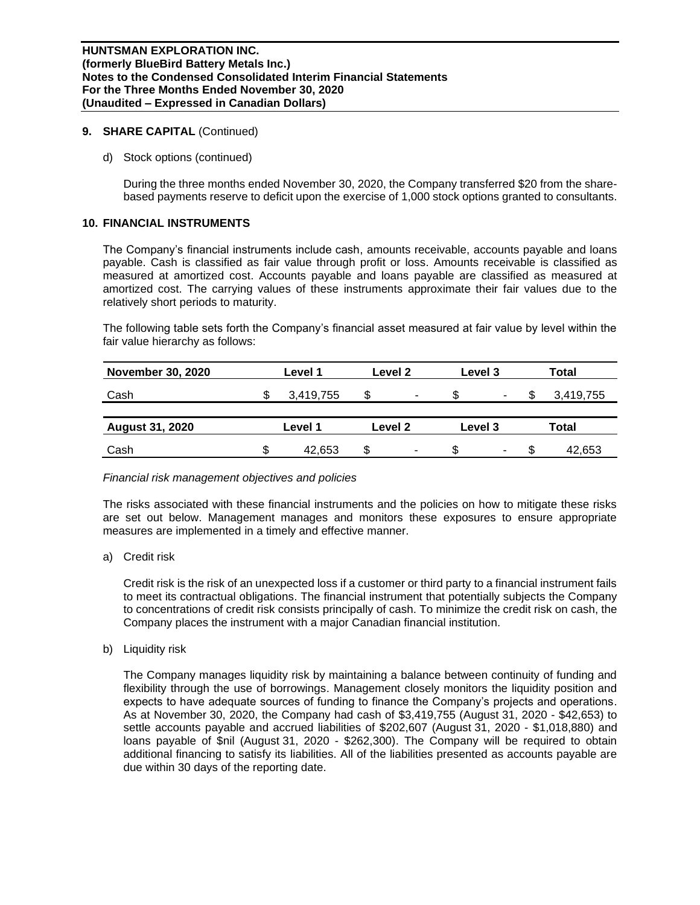d) Stock options (continued)

During the three months ended November 30, 2020, the Company transferred \$20 from the sharebased payments reserve to deficit upon the exercise of 1,000 stock options granted to consultants.

# **10. FINANCIAL INSTRUMENTS**

The Company's financial instruments include cash, amounts receivable, accounts payable and loans payable. Cash is classified as fair value through profit or loss. Amounts receivable is classified as measured at amortized cost. Accounts payable and loans payable are classified as measured at amortized cost. The carrying values of these instruments approximate their fair values due to the relatively short periods to maturity.

The following table sets forth the Company's financial asset measured at fair value by level within the fair value hierarchy as follows:

| <b>November 30, 2020</b> |         | Level 2<br>Level 1 |         |                          | Level 3 |   |       | Total     |  |  |
|--------------------------|---------|--------------------|---------|--------------------------|---------|---|-------|-----------|--|--|
| Cash                     |         | 3,419,755          | S       | ۰                        |         | ۰ | Æ     | 3,419,755 |  |  |
| <b>August 31, 2020</b>   | Level 1 |                    | Level 2 |                          | Level 3 |   | Total |           |  |  |
| Cash                     |         | 42,653             | \$      | $\overline{\phantom{0}}$ |         | ۰ | S     | 42,653    |  |  |

## *Financial risk management objectives and policies*

The risks associated with these financial instruments and the policies on how to mitigate these risks are set out below. Management manages and monitors these exposures to ensure appropriate measures are implemented in a timely and effective manner.

a) Credit risk

Credit risk is the risk of an unexpected loss if a customer or third party to a financial instrument fails to meet its contractual obligations. The financial instrument that potentially subjects the Company to concentrations of credit risk consists principally of cash. To minimize the credit risk on cash, the Company places the instrument with a major Canadian financial institution.

b) Liquidity risk

The Company manages liquidity risk by maintaining a balance between continuity of funding and flexibility through the use of borrowings. Management closely monitors the liquidity position and expects to have adequate sources of funding to finance the Company's projects and operations. As at November 30, 2020, the Company had cash of \$3,419,755 (August 31, 2020 - \$42,653) to settle accounts payable and accrued liabilities of \$202,607 (August 31, 2020 - \$1,018,880) and loans payable of \$nil (August 31, 2020 - \$262,300). The Company will be required to obtain additional financing to satisfy its liabilities. All of the liabilities presented as accounts payable are due within 30 days of the reporting date.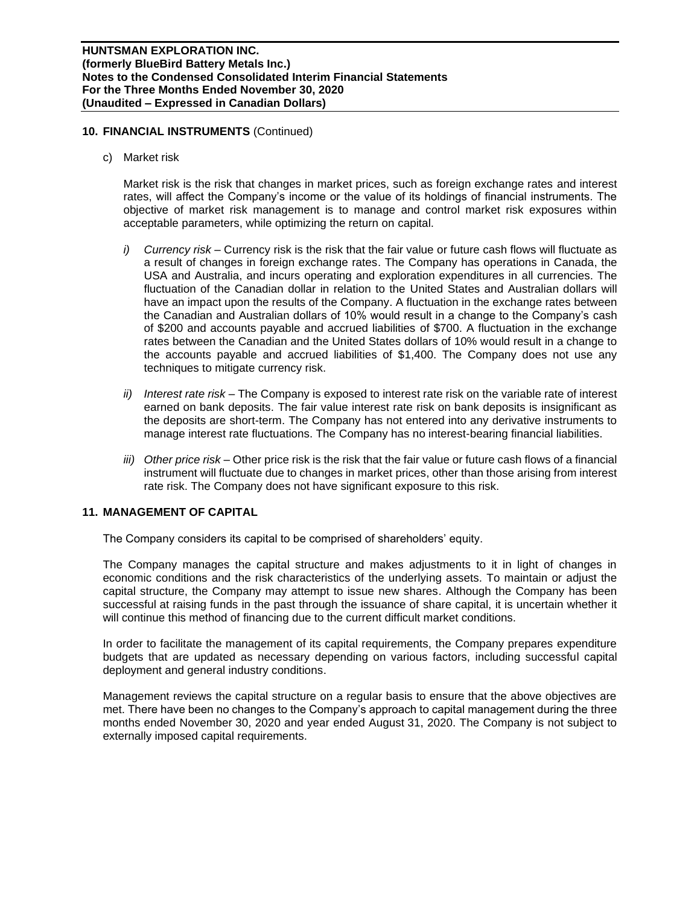## **10. FINANCIAL INSTRUMENTS** (Continued)

c) Market risk

Market risk is the risk that changes in market prices, such as foreign exchange rates and interest rates, will affect the Company's income or the value of its holdings of financial instruments. The objective of market risk management is to manage and control market risk exposures within acceptable parameters, while optimizing the return on capital.

- *i) Currency risk –* Currency risk is the risk that the fair value or future cash flows will fluctuate as a result of changes in foreign exchange rates. The Company has operations in Canada, the USA and Australia, and incurs operating and exploration expenditures in all currencies. The fluctuation of the Canadian dollar in relation to the United States and Australian dollars will have an impact upon the results of the Company. A fluctuation in the exchange rates between the Canadian and Australian dollars of 10% would result in a change to the Company's cash of \$200 and accounts payable and accrued liabilities of \$700. A fluctuation in the exchange rates between the Canadian and the United States dollars of 10% would result in a change to the accounts payable and accrued liabilities of \$1,400. The Company does not use any techniques to mitigate currency risk.
- *ii) Interest rate risk –* The Company is exposed to interest rate risk on the variable rate of interest earned on bank deposits. The fair value interest rate risk on bank deposits is insignificant as the deposits are short-term. The Company has not entered into any derivative instruments to manage interest rate fluctuations. The Company has no interest-bearing financial liabilities.
- *iii) Other price risk –* Other price risk is the risk that the fair value or future cash flows of a financial instrument will fluctuate due to changes in market prices, other than those arising from interest rate risk. The Company does not have significant exposure to this risk.

# **11. MANAGEMENT OF CAPITAL**

The Company considers its capital to be comprised of shareholders' equity.

The Company manages the capital structure and makes adjustments to it in light of changes in economic conditions and the risk characteristics of the underlying assets. To maintain or adjust the capital structure, the Company may attempt to issue new shares. Although the Company has been successful at raising funds in the past through the issuance of share capital, it is uncertain whether it will continue this method of financing due to the current difficult market conditions.

In order to facilitate the management of its capital requirements, the Company prepares expenditure budgets that are updated as necessary depending on various factors, including successful capital deployment and general industry conditions.

Management reviews the capital structure on a regular basis to ensure that the above objectives are met. There have been no changes to the Company's approach to capital management during the three months ended November 30, 2020 and year ended August 31, 2020. The Company is not subject to externally imposed capital requirements.